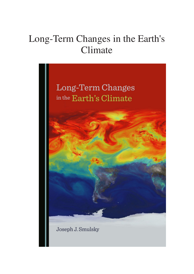## Long-Term Changes in the Earth's Climate

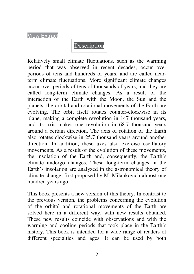View Extract



Relatively small climate fluctuations, such as the warming period that was observed in recent decades, occur over periods of tens and hundreds of years, and are called nearterm climate fluctuations. More significant climate changes occur over periods of tens of thousands of years, and they are called long-term climate changes. As a result of the interaction of the Earth with the Moon, the Sun and the planets, the orbital and rotational movements of the Earth are evolving. The orbit itself rotates counter-clockwise in its plane, making a complete revolution in 147 thousand years, and its axis makes one revolution in 68.7 thousand years around a certain direction. The axis of rotation of the Earth also rotates clockwise in 25.7 thousand years around another direction. In addition, these axes also exercise oscillatory movements. As a result of the evolution of these movements, the insolation of the Earth and, consequently, the Earth's climate undergo changes. These long-term changes in the Earth's insolation are analyzed in the astronomical theory of climate change, first proposed by M. Milankovich almost one hundred years ago.

This book presents a new version of this theory. In contrast to the previous version, the problems concerning the evolution of the orbital and rotational movements of the Earth are solved here in a different way, with new results obtained. These new results coincide with observations and with the warming and cooling periods that took place in the Earth's history. This book is intended for a wide range of readers of different specialties and ages. It can be used by both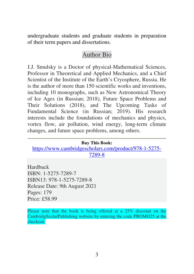undergraduate students and graduate students in preparation of their term papers and dissertations.

## Author Bio

J.J. Smulsky is a Doctor of physical-Mathematical Sciences, Professor in Theoretical and Applied Mechanics, and a Chief Scientist of the Institute of the Earth's Cryosphere, Russia. He is the author of more than 150 scientific works and inventions, including 10 monographs, such as New Astronomical Theory of Ice Ages (in Russian; 2018), Future Space Problems and Their Solutions (2018), and The Upcoming Tasks of Fundamental Science (in Russian; 2019). His research interests include the foundations of mechanics and physics, vortex flow, air pollution, wind energy, long-term climate changes, and future space problems, among others.

#### **Buy This Book:**

https://www.cambridgescholars.com/product/978-1-5275- 7289-8

**Hardback** ISBN: 1-5275-7289-7 ISBN13: 978-1-5275-7289-8 Release Date: 9th August 2021 Pages: 179 Price: £58.99

Please note that the book is being offered at a 25% discount on the CambridgScolarPublishing website by entering the code PROMO25 at the checkout.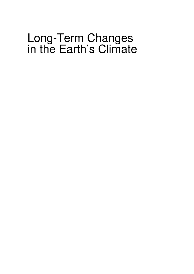# Long-Term Changes in the Earth's Climate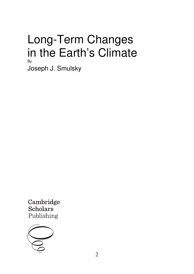## Long-Term Changes in the Earth's Climate By

Joseph J. Smulsky

Cambridge **Scholars** Publishing

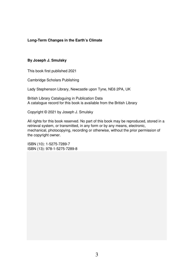#### **Long-Term Changes in the Earth's Climate**

#### **By Joseph J. Smulsky**

This book first published 2021

Cambridge Scholars Publishing

Lady Stephenson Library, Newcastle upon Tyne, NE6 2PA, UK

British Library Cataloguing in Publication Data A catalogue record for this book is available from the British Library

Copyright © 2021 by Joseph J. Smulsky

All rights for this book reserved. No part of this book may be reproduced, stored in a retrieval system, or transmitted, in any form or by any means, electronic, mechanical, photocopying, recording or otherwise, without the prior permission of the copyright owner.

ISBN (10): 1-5275-7289-7 ISBN (13): 978-1-5275-7289-8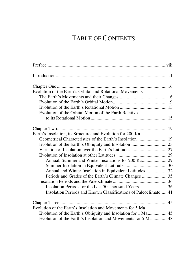## TABLE OF CONTENTS

| Evolution of the Earth's Orbital and Rotational Movements      |  |
|----------------------------------------------------------------|--|
|                                                                |  |
|                                                                |  |
|                                                                |  |
| Evolution of the Orbital Motion of the Earth Relative          |  |
|                                                                |  |
|                                                                |  |
|                                                                |  |
| Earth's Insolation, its Structure, and Evolution for 200 Ka    |  |
|                                                                |  |
|                                                                |  |
|                                                                |  |
|                                                                |  |
|                                                                |  |
|                                                                |  |
| Annual and Winter Insolation in Equivalent Latitudes32         |  |
| Periods and Grades of the Earth's Climate Changes 35           |  |
|                                                                |  |
|                                                                |  |
| Insolation Periods and Known Classifications of Paleoclimate41 |  |
|                                                                |  |
| Evolution of the Earth's Insolation and Movements for 5 Ma     |  |
|                                                                |  |
| Evolution of the Earth's Insolation and Movements for 5 Ma 48  |  |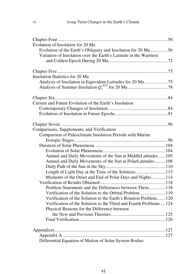| Evolution of Insolation for 20 Ma                                  |
|--------------------------------------------------------------------|
| Evolution of the Earth's Obliquity and Insolation for 20 Ma56      |
| Variation of Insolation over the Earth's Latitude in the Warmest   |
|                                                                    |
|                                                                    |
|                                                                    |
| Insolation Statistics for 20 Ma                                    |
| Analysis of Insolation in Equivalent Latitudes for 20 Ma75         |
|                                                                    |
|                                                                    |
| Current and Future Evolution of the Earth's Insolation             |
|                                                                    |
|                                                                    |
|                                                                    |
| Comparisons, Supplements, and Verification                         |
| Comparison of Paleoclimate Insolation Periods with Marine          |
|                                                                    |
|                                                                    |
|                                                                    |
| Annual and Daily Movements of the Sun at MiddleLatitudes 105       |
| Annual and Daily Movements of the Sun at PolarLatitudes 108        |
|                                                                    |
| Length of Light Day at the Time of the Solstices  113              |
| Moments of the Onset and End of Polar Days and Nights 114          |
|                                                                    |
| Problem Statements and the Differences between Them118             |
|                                                                    |
| Verification of the Solution to the Earth's Rotation Problem 120   |
| Verification of the Solution to the Third and Fourth Problems  124 |
| Physical Reasons for the Difference between                        |
|                                                                    |
|                                                                    |
|                                                                    |
|                                                                    |
| Differential Equation of Motion of Solar-System Bodies             |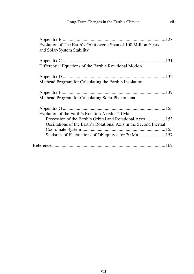vii

| Evolution of The Earth's Orbit over a Span of 100 Million Years<br>and Solar-System Stability |
|-----------------------------------------------------------------------------------------------|
| Differential Equations of the Earth's Rotational Motion                                       |
| Mathcad Program for Calculating the Earth's Insolation                                        |
| Mathcad Program for Calculating Solar Phenomena                                               |
|                                                                                               |
| Evolution of the Earth's Rotation Axisfor 20 Ma                                               |
| Precession of the Earth's Orbital and Rotational Axes 153                                     |
| Oscillations of the Earth's Rotational Axis in the Second Inertial                            |
|                                                                                               |
| Statistics of Fluctuations of Obliquity $\varepsilon$ for 20 Ma157                            |
|                                                                                               |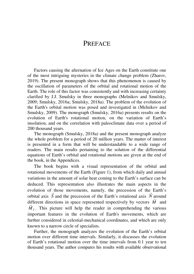## **PREFACE**

Factors causing the alternation of Ice Ages on the Earth constitute one of the most intriguing mysteries in the climate change problem (Zharov, 2019). The present monograph shows that this phenomenon is caused by the oscillation of parameters of the orbital and rotational motion of the Earth. The role of this factor was consistently and with increasing certainty clarified by J.J. Smulsky in three monographs (Melnikov and Smulsky, 2009; Smulsky, 2016a; Smulsky, 2018a). The problem of the evolution of the Earth's orbital motion was posed and investigated in (Melnikov and Smulsky, 2009). The monograph (Smulsky, 2016a) presents results on the evolution of Earth's rotational motion, on the variation of Earth's insolation, and on the correlation with paleoclimate data over a period of 200 thousand years.

The monograph (Smulsky, 2018a) and the present monograph analyze the whole problem for a period of 20 million years. The matter of interest is presented in a form that will be understandable to a wide range of readers. The main results pertaining to the solution of the differential equations of Earth's orbital and rotational motions are given at the end of the book, in the Appendices.

The book begins with a visual representation of the orbital and rotational movements of the Earth (Figure 1), from which daily and annual variations in the amount of solar heat coming to the Earth's surface can be deduced. This representation also illustrates the main aspects in the evolution of those movements, namely, the precession of the Earth's orbital axis *S* and the precession of the Earth's rotational axis *N* around different directions in space represented respectively by vectors *M* and r  $M<sub>2</sub>$ . This picture will help the reader in comprehending the various important features in the evolution of Earth's movements, which are further considered in celestial-mechanical coordinates, and which are only known to a narrow circle of specialists.

Further, the monograph analyzes the evolution of the Earth's orbital motion over different time intervals. Similarly, it discusses the evolution of Earth's rotational motion over the time intervals from 0.1 year to ten thousand years. The author compares his results with available observational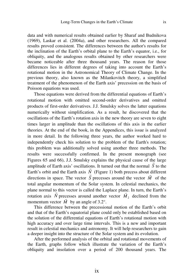data and with numerical results obtained earlier by Sharaf and Budnikova (1969), Laskar et al. (2004a), and other researchers. All the compared results proved consistent. The differences between the author's results for the inclination of the Earth's orbital plane to the Earth's equator, i.e., for obliquity, and the analogous results obtained by other researchers were became noticeable after three thousand years. The reason for those differences lies in different degrees of taking into account the Earth's rotational motion in the Astronomical Theory of Climate Change. In the previous theory, also known as the Milankovitch theory, a simplified treatment of the phenomenon of the Earth axis' precession on the basis of Poisson equations was used.

Those equations were derived from the differential equations of Earth's rotational motion with omitted second-order derivatives and omitted products of first-order derivatives. J.J. Smulsky solves the latter equations numerically without simplification. As a result, he discovered that the oscillations of the Earth's rotation axis in the new theory are seven to eight times larger in amplitude than the oscillations of this axis in the earlier theories. At the end of the book, in the Appendices, this issue is analyzed in more detail. In the following three years, the author worked hard to independently check his solution to the problem of the Earth's rotation; this problem was additionally solved using another three methods. The results were successfully confirmed. In the present monograph (see Figures 65 and 66), J.J. Smulsky explains the physical cause of the large amplitude of Earth axis' oscillations. It turned out that the normal  $S$  to the Earth's orbit and the Earth axis  $N$  (Figure 1) both precess about different directions in space. The vector *S* precesses around the vector *M* of the total angular momentum of the Solar system. In celestial mechanics, the plane normal to this vector is called the Laplace plane. In turn, the Earth's rotation axis *N* precesses around another vector  $M_2$  declined from the momentum vector  $M$  by an angle of 3.2°.

This difference between the precessional motion of the Earth's orbit and that of the Earth's equatorial plane could only be established based on the solution of the differential equations of Earth's rotational motion with high accuracy and over large time intervals. This is a new and important result in celestial mechanics and astronomy. It will help researchers to gain a deeper insight into the structure of the Solar system and its evolution.

After the performed analysis of the orbital and rotational movements of the Earth, graphs follow which illustrate the variation of the Earth's obliquity and insolation over a period of 200 thousand years. The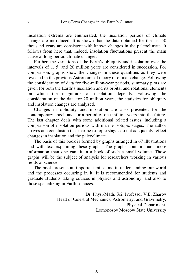insolation extrema are enumerated, the insolation periods of climate change are introduced. It is shown that the data obtained for the last 50 thousand years are consistent with known changes in the paleoclimate. It follows from here that, indeed, insolation fluctuations present the main cause of long-period climate changes.

Further, the variations of the Earth's obliquity and insolation over the intervals of 1, 5, and 20 million years are considered in succession. For comparison, graphs show the changes in these quantities as they were revealed in the previous Astronomical theory of climate change. Following the consideration of data for five-million-year periods, summary plots are given for both the Earth's insolation and its orbital and rotational elements on which the magnitude of insolation depends. Following the consideration of the data for 20 million years, the statistics for obliquity and insolation changes are analyzed.

Changes in obliquity and insolation are also presented for the contemporary epoch and for a period of one million years into the future. The last chapter deals with some additional related issues, including a comparison of insolation periods with marine isotopic stages. The author arrives at a conclusion that marine isotopic stages do not adequately reflect changes in insolation and the paleoclimate.

The basis of this book is formed by graphs arranged in 67 illustrations and with text explaining these graphs. The graphs contain much more information than one can fit in a book of such a small volume. Those graphs will be the subject of analysis for researchers working in various fields of science.

The book presents an important milestone in understanding our world and the processes occurring in it. It is recommended for students and graduate students taking courses in physics and astronomy, and also to those specializing in Earth sciences.

> Dr. Phys.-Math. Sci. Professor V.E. Zharov Head of Celestial Mechanics, Astrometry, and Gravimetry, Physical Department, Lomonosov Moscow State University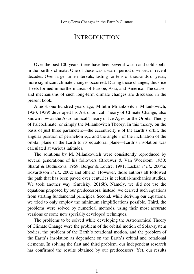### **INTRODUCTION**

Over the past 100 years, there have been several warm and cold spells in the Earth's climate. One of these was a warm period observed in recent decades. Over larger time intervals, lasting for tens of thousands of years, more significant climate changes occurred. During those changes, thick ice sheets formed in northern areas of Europe, Asia, and America. The causes and mechanisms of such long-term climate changes are discussed in the present book.

Almost one hundred years ago, Milutin Milankovitch (Milankovitch, 1920; 1939) developed his Astronomical Theory of Climate Change, also known now as the Astronomical Theory of Ice Ages, or the Orbital Theory of Paleoclimate, or simply the Milankovitch Theory. In this theory, on the basis of just three parameters––the eccentricity *e* of the Earth's orbit, the angular position of perihelion  $\varphi_{p\gamma}$ , and the angle  $\varepsilon$  of the inclination of the orbital plane of the Earth to its equatorial plane––Earth's insolation was calculated at various latitudes.

The solutions by M. Milankovitch were consistently reproduced by several generations of his followers (Brouwer & Van Woerkom, 1950; Sharaf & Budnikova, 1969; Berger & Loutre, 1991; Laskar *et al*., 2004a; Edvardsson *et al*., 2002; and others). However, those authors all followed the path that has been paved over centuries in celestial-mechanics studies. We took another way (Smulsky, 2016b). Namely, we did not use the equations proposed by our predecessors; instead, we derived such equations from starting fundamental principles. Second, while deriving our equations, we tried to only employ the minimum simplifications possible. Third, the problems were solved by numerical methods, using their most accurate versions or some new specially developed techniques.

The problems to be solved while developing the Astronomical Theory of Climate Change were the problem of the orbital motion of Solar-system bodies, the problem of the Earth's rotational motion, and the problem of the Earth's insolation as dependent on the Earth's orbital and rotational elements. In solving the first and third problem, our independent research has confirmed the results obtained by our predecessors. Yet, our results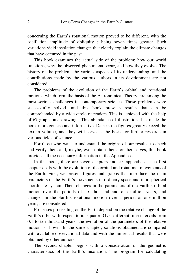concerning the Earth's rotational motion proved to be different, with the oscillation amplitude of obliquity  $\varepsilon$  being seven times greater. Such variations yield insolation changes that clearly explain the climate changes that have occurred in the past.

This book examines the actual side of the problem: how our world functions, why the observed phenomena occur, and how they evolve. The history of the problem, the various aspects of its understanding, and the contributions made by the various authors in its development are not considered.

The problems of the evolution of the Earth's orbital and rotational motions, which form the basis of the Astronomical Theory, are among the most serious challenges in contemporary science. Those problems were successfully solved, and this book presents results that can be comprehended by a wide circle of readers. This is achieved with the help of 67 graphs and drawings. This abundance of illustrations has made the book more concise and informative. Data in the figures greatly exceed the text in volume, and they will serve as the basis for further research in various fields of science.

For those who want to understand the origins of our results, to check and verify them and, maybe, even obtain them for themselves, this book provides all the necessary information in the Appendices.

In this book, there are seven chapters and six appendices. The first chapter deals with the evolution of the orbital and rotational movements of the Earth. First, we present figures and graphs that introduce the main parameters of the Earth's movements in ordinary space and in a spherical coordinate system. Then, changes in the parameters of the Earth's orbital motion over the periods of six thousand and one million years, and changes in the Earth's rotational motion over a period of one million years, are considered.

Processes proceeding on the Earth depend on the relative change of the Earth's orbit with respect to its equator. Over different time intervals from 0.1 to ten thousand years, the evolution of the parameters of the relative motion is shown. In the same chapter, solutions obtained are compared with available observational data and with the numerical results that were obtained by other authors.

The second chapter begins with a consideration of the geometric characteristics of the Earth's insolation. The program for calculating

 $\overline{2}$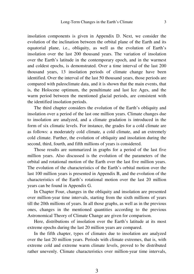insolation components is given in Appendix D. Next, we consider the evolution of the inclination between the orbital plane of the Earth and its equatorial plane, i.e., obliquity, as well as the evolution of Earth's insolation over the last 200 thousand years. The variation of insolation over the Earth's latitude in the contemporary epoch, and in the warmest and coldest epochs, is demonstrated. Over a time interval of the last 200 thousand years, 13 insolation periods of climate change have been identified. Over the interval of the last 50 thousand years, those periods are compared with paleoclimate data, and it is shown that the main events, that is, the Holocene optimum, the penultimate and last Ice Ages, and the warm period between the mentioned glacial periods, are consistent with the identified insolation periods.

The third chapter considers the evolution of the Earth's obliquity and insolation over a period of the last one million years. Climate changes due to insolation are analyzed, and a climate gradation is introduced in the form of six climatic levels. For instance, the grades for a cold climate are as follows: a moderately cold climate, a cold climate, and an extremely cold climate. Further, the evolution of obliquity and insolation during the second, third, fourth, and fifth millions of years is considered.

Those results are summarized in graphs for a period of the last five million years. Also discussed is the evolution of the parameters of the orbital and rotational motion of the Earth over the last five million years. The evolution of the characteristics of the Earth's orbital motion over the last 100 million years is presented in Appendix B, and the evolution of the characteristics of the Earth's rotational motion over the last 20 million years can be found in Appendix G.

In Chapter Four, changes in the obliquity and insolation are presented over million-year time intervals, starting from the sixth millions of years till the 20th millions of years. In all those graphs, as well as in the previous ones, changes in the mentioned quantities according to the previous Astronomical Theory of Climate Change are given for comparison.

Here, distributions of insolation over the Earth's latitude at its most extreme epochs during the last 20 million years are compared.

In the fifth chapter, types of climates due to insolation are analyzed over the last 20 million years. Periods with climate extremes, that is, with extreme cold and extreme warm climate levels, proved to be distributed rather unevenly. Climate characteristics over million-year time intervals,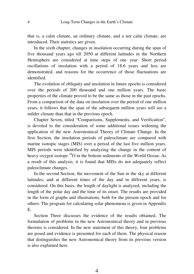that is, a calm climate, an ordinary climate, and a not calm climate, are introduced. Their statistics are given.

In the sixth chapter, changes in insolation occurring during the span of five thousand years ago till 2050 at different latitudes in the Northern Hemisphere are considered at time steps of one year. Short period oscillations of insolation with a period of 18.6 years and less are demonstrated, and reasons for the occurrence of those fluctuations are identified.

The evolution of obliquity and insolation in future epochs is considered over the periods of 200 thousand and one million years. The basic properties of the climate proved to be the same as those in the past epochs. From a comparison of the data on insolation over the period of one million years, it follows that the span of the subsequent million years will see a milder climate than that in the previous epoch.

Chapter Seven, titled "Comparisons, Supplements, and Verification", is devoted to the consideration of some additional issues widening the application of the new Astronomical Theory of Climate Change. In the first Section, the insolation periods of paleoclimate are compared with marine isotopic stages (MIS) over a period of the last five million years. MIS periods were identified by analyzing the change in the content of heavy oxygen isotope <sup>18</sup>O in the bottom sediments of the World Ocean. As a result of this analysis, it is found that MISs do not adequately reflect paleoclimate changes.

In the second Section, the movement of the Sun in the sky at different latitudes, and at different times of the day and in different years, is considered. On this basis, the length of daylight is analyzed, including the length of the polar day and the time of its onset. The results are provided in the form of graphs and illustrations, both for the present epoch and for others. The program for calculating solar phenomena is given in Appendix E.

Section Three discusses the evidence of the results obtained. The formulation of problems in the new Astronomical theory and in previous theories is considered. In the new statement of this theory, four problems are posed and evidence is presented for each of them. The physical reason that distinguishes the new Astronomical theory from its previous version is also explained here.

4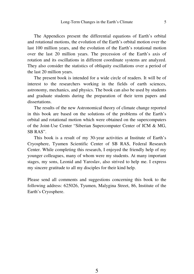The Appendices present the differential equations of Earth's orbital and rotational motions, the evolution of the Earth's orbital motion over the last 100 million years, and the evolution of the Earth's rotational motion over the last 20 million years. The precession of the Earth's axis of rotation and its oscillations in different coordinate systems are analyzed. They also consider the statistics of obliquity oscillations over a period of the last 20 million years.

The present book is intended for a wide circle of readers. It will be of interest to the researchers working in the fields of earth sciences, astronomy, mechanics, and physics. The book can also be used by students and graduate students during the preparation of their term papers and dissertations.

The results of the new Astronomical theory of climate change reported in this book are based on the solutions of the problems of the Earth's orbital and rotational motion which were obtained on the supercomputers of the Joint-Use Center "Siberian Supercomputer Center of ICM & MG, SB RAS".

This book is a result of my 30-year activities at Institute of Earth's Cryosphere, Tyumen Scientific Center of SB RAS, Federal Research Center. While completing this research, I enjoyed the friendly help of my younger colleagues, many of whom were my students. At many important stages, my sons, Leonid and Yaroslav, also strived to help me. I express my sincere gratitude to all my disciples for their kind help.

Please send all comments and suggestions concerning this book to the following address: 625026, Tyumen, Malygina Street, 86, Institute of the Earth's Cryosphere.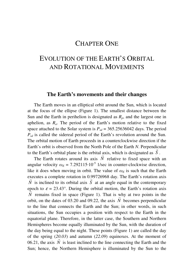## CHAPTER ONE

## EVOLUTION OF THE EARTH'S ORBITAL AND ROTATIONAL MOVEMENTS

### **The Earth's movements and their changes**

The Earth moves in an elliptical orbit around the Sun, which is located at the focus of the ellipse (Figure 1). The smallest distance between the Sun and the Earth in perihelion is designated as *Rp*, and the largest one in aphelion, as  $R_a$ . The period of the Earth's motion relative to the fixed space attached to the Solar system is  $P_{sd} = 365.25636042$  days. The period  $P_{sd}$  is called the sidereal period of the Earth's revolution around the Sun. The orbital motion of Earth proceeds in a counterclockwise direction if the Earth's orbit is observed from the North Pole of the Earth *N*. Perpendicular to the Earth's orbital plane is the orbital axis, which is designated as  $S$ .

The Earth rotates around its axis  $N$  relative to fixed space with an angular velocity  $\omega_F = 7.292115 \cdot 10^{-5}$  1/sec in counter-clockwise direction, like it does when moving in orbit. The value of  $\omega_E$  is such that the Earth executes a complete rotation in 0.99726968 day. The Earth's rotation axis *N* is inclined to its orbital axis *S* at an angle equal in the contemporary epoch to  $\varepsilon = 23.43^{\circ}$ . During the orbital motion, the Earth's rotation axis *N* remains fixed in space (Figure 1). That is why at two points in the orbit, on the dates of 03.20 and 09.22, the axis *N* becomes perpendicular to the line that connects the Earth and the Sun; in other words, in such situations, the Sun occupies a position with respect to the Earth in the equatorial plane. Therefore, in the latter case, the Southern and Northern Hemispheres become equally illuminated by the Sun, with the duration of the day being equal to the night. These points (Figure 1) are called the day of the spring  $(20.03)$  and autumn  $(22.09)$  equinoxes. At the moment of 06.21, the axis  $N$  is least inclined to the line connecting the Earth and the Sun; hence, the Northern Hemisphere is illuminated by the Sun to the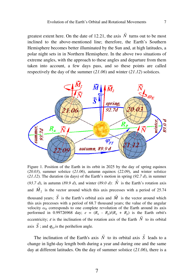$\overline{a}$ 

7

greatest extent here. On the date of 12.21, the axis *N* turns out to be most inclined to the above-mentioned line; therefore, the Earth's Southern Hemisphere becomes better illuminated by the Sun and, at high latitudes, a polar night sets in in Northern Hemisphere. In the above two situations of extreme angles, with the approach to these angles and departure from them taken into account, a few days pass, and so these points are called respectively the day of the summer (*21.06*) and winter (*21.12*) solstices.



Figure 1. Position of the Earth in its orbit in 2025 by the day of spring equinox (*20.03*), summer solstice (*21.06*), autumn equinox (*22.09*), and winter solstice (21.12). The duration (in days) of the Earth's motion in spring (92.7  $d$ ), in summer (93.7 d), in autumn (89.9 d), and winter (89.0 d):  $N$  is the Earth's rotation axis and  $M_2$  is the vector around which this axis precesses with a period of 25.74 thousand years;  $S$  is the Earth's orbital axis and  $M$  is the vector around which this axis precesses with a period of 68.7 thousand years; the value of the angular velocity  $\omega_E$  corresponds to one complete revolution of the Earth around its axis performed in 0.99726968 day;  $e = (R_a - R_p)/(R_a + R_p)$  is the Earth orbit's eccentricity;  $\varepsilon$  is the inclination of the rotation axis of the Earth *N* to its orbital axis S; and  $\varphi_{p\gamma}$  is the perihelion angle.

The inclination of the Earth's axis *N*  $\overline{a}$  to its orbital axis *S*  $\overline{a}$  leads to a change in light-day length both during a year and during one and the same day at different latitudes. On the day of summer solstice (*21.06*), there is a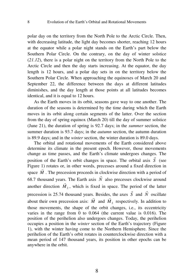8

polar day on the territory from the North Pole to the Arctic Circle. Then, with decreasing latitude, the light day becomes shorter, reaching 12 hours at the equator while a polar night stands on the Earth's part below the Southern Polar Circle. On the contrary, on the day of winter solstice (*21.12*), there is a polar night on the territory from the North Pole to the Arctic Circle and then the day starts increasing. At the equator, the day length is 12 hours, and a polar day sets in on the territory below the Southern Polar Circle. When approaching the equinoxes of March 20 and September 22, the difference between the days at different latitudes diminishes, and the day length at those points at all latitudes becomes identical, and it is equal to 12 hours.

As the Earth moves in its orbit, seasons gave way to one another. The duration of the seasons is determined by the time during which the Earth moves in its orbit along certain segments of the latter. Over the section from the day of spring equinox (March 20) till the day of summer solstice (June 21), the duration of spring is 92.7 days; in the *summer* section, the summer duration is 93.7 days; in the *autumn* section, the autumn duration is 89.9 days; and in the *winter* section, the winter duration is 89.0 days.

The orbital and rotational movements of the Earth considered above determine its climate in the present epoch. However, those movements change as time passes, and the Earth's climate undergoes changes. The position of the Earth's orbit changes in space. The orbital axis *S* (see Figure 1) rotates or, in other words, precesses around a fixed direction in space  $M$ . The precession proceeds in clockwise direction with a period of 68.7 thousand years. The Earth axis  $N$  also precesses clockwise around another direction  $M<sub>2</sub>$ , which is fixed in space. The period of the latter precession is 25.74 thousand years. Besides, the axes *S* .<br>⊣ and *N* .<br>→ Exercise E areas S and N oscillate about their own precession axis:  $M$  and  $M<sub>2</sub>$  respectively. In addition to those movements, the shape of the orbit changes, i.e., its eccentricity varies in the range from 0 to 0.064 (the current value is 0.016). The position of the perihelion also undergoes changes. Today, the perihelion occupies a position in the *winter* section of the Earth's trajectory (Figure 1), with the winter having come to the Northern Hemisphere. Since the perihelion of the Earth's orbit rotates in counterclockwise direction with a mean period of 147 thousand years, its position in other epochs can be anywhere in the orbit.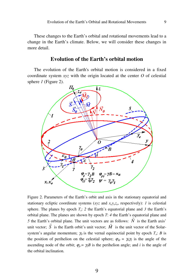These changes to the Earth's orbital and rotational movements lead to a change in the Earth's climate. Below, we will consider these changes in more detail.

#### **Evolution of the Earth's orbital motion**

The evolution of the Earth's orbital motion is considered in a fixed coordinate system *xyz* with the origin located at the center *O* of celestial sphere *1* (Figure 2).



Figure 2. Parameters of the Earth's orbit and axis in the stationary equatorial and stationary ecliptic coordinate systems (*xyz* and *xeyez<sup>e</sup>* , respectively): *1* is celestial sphere. The planes by epoch Т*<sup>s</sup>* : *2* the Earth's equatorial plane and *3* the Earth's orbital plane. The planes are shown by epoch  $T: 4$  the Earth's equatorial plane and *5* the Earth's orbital plane. The unit vectors are as follows: *N* is the Earth axis' unit vector;  $S$  is the Earth orbit's unit vector;  $M$  is the unit vector of the Solarsystem's angular momentum;  $\gamma_0$  is the vernal equinoctial point by epoch  $T_s$ ; *B* is the position of perihelion on the celestial sphere;  $\varphi_{\Omega} = \gamma_0 \gamma_2$  is the angle of the ascending node of the orbit;  $\varphi_p = \gamma_2 B$  is the perihelion angle; and *i* is the angle of the orbital inclination.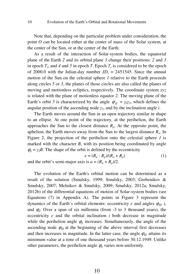10

Note that, depending on the particular problem under consideration, the point *O* can be located either at the center of mass of the Solar system, at the center of the Sun, or at the center of the Earth.

As a result of the interaction of Solar-system bodies, the equatorial plane of the Earth *2* and its orbital plane *3* change their positions: *2* and *3* in epoch  $T_s$ , and 4 and 5 in epoch T. Epoch  $T_s$  is considered to be the epoch of 2000.0 with the Julian-day number  $JD_s = 2451545$ . Since the annual motion of the Sun on the celestial sphere *1* relative to the Earth proceeds along circles *5* or *3*, the planes of those circles are also called the planes of moving and motionless ecliptics, respectively. The coordinate system *xyz* is related with the plane of motionless equator *2*. The moving plane of the Earth's orbit *5* is characterized by the angle  $\varphi_{\Omega} = \gamma_0 \gamma_2$ , which defines the angular position of the ascending node γ*2*, and by the inclination angle *i*.

The Earth moves around the Sun in an open trajectory similar in shape to an ellipse. At one point of the trajectory, at the perihelion, the Earth approaches the Sun to the closest distance  $R_p$ . At the opposite point, the aphelion, the Earth moves away from the Sun to the largest distance *Ra*. In Figure 2, the projection of the perihelion onto the celestial sphere *1* is marked with the character *B*, with its position being coordinated by angle  $\varphi_p = \gamma_2 B$ . The shape of the orbit is defined by the eccentricity

$$
e = (R_a - R_p)/(R_a + R_p) \tag{1}
$$

and the orbit's semi-major axis is  $a = (R_a + R_p)/2$ .

The evolution of the Earth's orbital motion can be determined as a result of the solution (Smulsky, 1999; Smulsky, 2003; Grebenikov & Smulsky, 2007; Melnikov & Smulsky, 2009; Smulsky, 2012a; Smulsky, 2012b) of the differential equations of motion of Solar-system bodies (see Equations (7) in Appendix A). The points in Figure 3 represent the dynamics of the Earth's orbital elements: eccentricity *e* and angles  $\varphi_{\Omega}$ , *i*, and  $\varphi_p$ . Over a span of six millennia (from -3 to 3 thousand years), the eccentricity е and the orbital inclination *i* both decrease in magnitude while the perihelion angle  $\varphi$  increases. Simultaneously, the angle of the ascending node  $\varphi_{\Omega}$  at the beginning of the above interval first decreases and then increases in magnitude. In the latter case, the angle  $\varphi_{\Omega}$  attains its minimum value at a time of one thousand years before 30.12.1949. Unlike other parameters, the perihelion angle  $\varphi$  varies non-uniformly.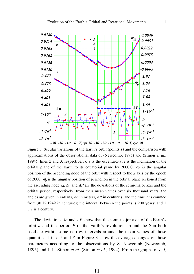

Figure 3. Secular variations of the Earth's orbit (points *1*) and the comparison with approximations of the observational data of (Newcomb, 1895) and (Simon *et al.*, 1994) (lines *2* and *3*, respectively): *e* is the eccentricity; *i* is the inclination of the orbital plane of the Earth to its equatorial plane by 2000.0;  $\varphi$ <sub>Q</sub> is the angular position of the ascending node of the orbit with respect to the *x* axis by the epoch of 2000;  $\varphi_p$  is the angular position of perihelion in the orbital plane reckoned from the ascending node  $\gamma_0$ ;  $\Delta a$  and  $\Delta P$  are the deviations of the semi-major axis and the orbital period, respectively, from their mean values over six thousand years; the angles are given in radians, ∆*a* in meters, ∆*P* in centuries, and the time Т is counted from 30.12.1949 in centuries; the interval between the points is 200 years; and 1 *cyr* is a century.

The deviations ∆*a* and ∆*P* show that the semi-major axis of the Earth's orbit *a* and the period *P* of the Earth's revolution around the Sun both oscillate within some narrow intervals around the mean values of those quantities. Lines *2* and *3* in Figure 3 show the average changes of those parameters according to the observations by S. Newcomb (Newcomb, 1895) and J. L. Simon *et al*. (Simon *et al*., 1994). From the graphs of *e*, *i*,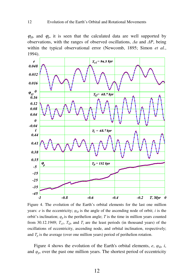$\varphi_{\Omega}$ , and  $\varphi_{\nu}$ , it is seen that the calculated data are well supported by observations, with the ranges of observed oscillations, ∆*a* and ∆*P*, being within the typical observational error (Newcomb, 1895; Simon *et al.*, 1994).



Figure 4. The evolution of the Earth's orbital elements for the last one million years: *e* is the eccentricity;  $\varphi_{\Omega}$  is the angle of the ascending node of orbit; *i* is the orbit's inclination;  $\varphi_p$  is the perihelion angle; T is the time in million years counted from 30.12.1949;  $T_{el}$ ,  $T_{\Omega}$ , and  $T_i$  are the least periods (in thousand years) of the oscillations of eccentricity, ascending node, and orbital inclination, respectively; and  $T_p$  is the average (over one million years) period of perihelion rotation.

Figure 4 shows the evolution of the Earth's orbital elements,  $e$ ,  $\varphi_{\Omega}$ , *i*, and  $\varphi_p$ , over the past one million years. The shortest period of eccentricity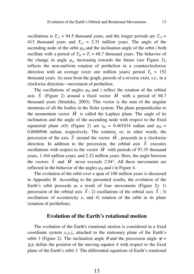oscillations is  $T_{el}$  = 94.5 thousand years, and the longer periods are  $T_{el}$  = 413 thousand years and  $T_{e3} = 2.31$  million years. The angle of the ascending node of the orbit  $\varphi_{\Omega}$  and the inclination angle of the orbit *i* both oscillate with a period of  $T_Q = T_i = 68.7$  thousand years. The behavior of the change in angle  $\varphi_p$ , increasing towards the future (see Figure 3), reflects the non-uniform rotation of perihelion in a counterclockwise direction with an average (over one million years) period  $T_p = 152$ thousand years. As seen from the graph, periods of a reverse exist, i.e., in a clockwise direction––movement of perihelion.

The oscillations of angles  $\varphi_{\Omega}$  and *i* reflect the rotation of the orbital axis *S* (Figure 2) around a fixed vector *M* with a period of 68.7 thousand years (Smulsky, 2003). This vector is the sum of the angular momenta of all the bodies in the Solar system. The plane perpendicular to the momentum vector  $M$  is called the Laplace plane. The angle of its inclination and the angle of the ascending node with respect to the fixed equatorial plane *xOy* (Figure 2) are  $i_M = 0.401834$  radian and  $\varphi_M =$  $0.0680946$  radian, respectively. The rotation, or, in other words, the precession of the axis *S* around the vector  $M$ , proceeds in a clockwise direction. In addition to the precession, the orbital axis  $S$  executes oscillations with respect to the vector *M* with periods of 97.35 thousand years, 1.164 million years, and 2.32 million years. Here, the angle between the vectors *S* and *M* never exceeds 2.94°. All these movements are reflected in the behavior of the angles  $\varphi_{\Omega}$  and *i* in Figure 4.

The evolution of the orbit over a span of 100 million years is discussed in Appendix B. According to the presented results, the evolution of the Earth's orbit proceeds as a result of four movements (Figure 2): 1) precession of the orbital axis  $S$ ; 2) oscillations of the orbital axis  $S$ ; 3) oscillations of eccentricity  $e$ ; and 4) rotation of the orbit in its plane (rotation of perihelion).

#### **Evolution of the Earth's rotational motion**

The evolution of the Earth's rotational motion is considered in a fixed coordinate system  $x_e y_e z_e$  attached to the stationary plane of the Earth's orbit *3* (Figure 2). The inclination angle  $\theta$  and the precession angle  $\psi$  = <sup>γ</sup>*0*γ*1* define the position of the moving equator *4* with respect to the fixed plane of the Earth's orbit *3*. The differential equations of Earth's rotational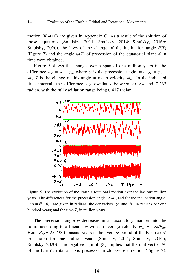motion  $(8)$ – $(10)$  are given in Appendix C. As a result of the solution of those equations (Smulsky, 2011; Smulsky, 2014; Smulsky, 2016b; Smulsky, 2020), the laws of the change of the inclination angle  $\theta(T)$ (Figure 2) and the angle  $\psi(T)$  of precession of the equatorial plane 4 in time were obtained.

Figure 5 shows the change over a span of one million years in the difference  $\Delta \psi = \psi - \psi_a$ , where  $\psi$  is the precession angle, and  $\psi_a = \psi_0 + \psi_a$  $\psi_m$  *T* is the change of this angle at mean velocity  $\psi_m$ . In the indicated time interval, the difference  $\Delta \psi$  oscillates between -0.184 and 0.233 radian, with the full oscillation range being 0.417 radian.



Figure 5. The evolution of the Earth's rotational motion over the last one million years. The differences for the precession angle,  $\Delta \psi$ , and for the inclination angle,  $\Delta\theta = \theta - \theta_0$ , are given in radians; the derivatives  $\dot{\psi}$  and  $\dot{\theta}$ , in radians per one hundred years; and the time *T*, in million years.

The precession angle  $\psi$  decreases in an oscillatory manner into the future according to a linear law with an average velocity  $\psi_m = -2 \pi / P_{pr}$ . Here,  $P_{pr}$  = 25.738 thousand years is the average period of the Earth axis' precession for one million years (Smulsky, 2014; Smulsky, 2016b; Smulsky, 2020). The negative sign of  $\psi_m$  implies that the unit vector  $\vec{N}$ of the Earth's rotation axis precesses in clockwise direction (Figure 2).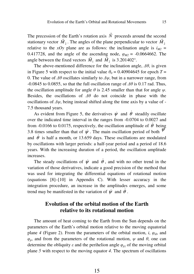$\overline{a}$ 

The precession of the Earth's rotation axis *N* the Earth's rotation axis N proceeds around the second stationary vector  $M_2$ . The angles of the plane perpendicular to vector  $M_2$ relative to the *xOy* plane are as follows: the inclination angle is  $i_{M2}$  = 0.417728, and the angle of the ascending node,  $\varphi_{M2} = -0.0664662$ . The angle between the fixed vectors  $M_1$  and  $M_2$  is 3.201402°.

The above-mentioned difference for the inclination angle,  $\Delta\theta$ , is given in Figure 5 with respect to the initial value  $\theta_0 = 0.40904645$  for epoch  $T =$ 0. The value of  $\Delta\theta$  oscillates similarly to  $\Delta\psi$ , but in a narrower range, from  $-0.0845$  to 0.0855, so that the full oscillation range of  $\Delta\theta$  is 0.17 rad. Thus, the oscillation amplitude for angle  $\theta$  is 2.45 smaller than that for angle  $\psi$ . Besides, the oscillations of  $\Delta\theta$  do not coincide in phase with the oscillations of  $\Delta \psi$ , being instead shifted along the time axis by a value of -7.5 thousand years.

As evident from Figure 5, the derivatives  $\dot{\psi}$  and  $\dot{\theta}$  steadily oscillate over the indicated time interval in the ranges from -0.0704 to 0.0027 and from -0.0166 to 0.0175, respectively, the oscillation amplitude of  $\dot{\theta}$  being 3.8 times smaller than that of  $\dot{\psi}$ . The main oscillation period of both  $\dot{\psi}$ and  $\dot{\theta}$  is half a month, or 13.659 days. These oscillations are modulated by oscillations with larger periods: a half-year period and a period of 18.6 years. With the increasing duration of a period, the oscillation amplitude increases.

The steady oscillations of  $\dot{\psi}$  and  $\dot{\theta}$ , and with no other trend in the variation of those derivatives, indicate a good precision of the method that was used for integrating the differential equations of rotational motion (equations [8]–[10] in Appendix C). With lesser accuracy in the integration procedure, an increase in the amplitudes emerges, and some trend may be manifested in the variation of  $\psi$  and  $\dot{\theta}$ .

### **Evolution of the orbital motion of the Earth relative to its rotational motion**

The amount of heat coming to the Earth from the Sun depends on the parameters of the Earth's orbital motion relative to the moving equatorial plane 4 (Figure 2). From the parameters of the orbital motion, *i*,  $\varphi_{\Omega}$ , and  $\varphi_p$ , and from the parameters of the rotational motion,  $\psi$  and  $\theta$ , one can determine the obliquity  $\varepsilon$  and the perihelion angle  $\varphi_{p\gamma}$  of the moving orbital plane *5* with respect to the moving equator *4*. The spectrum of oscillations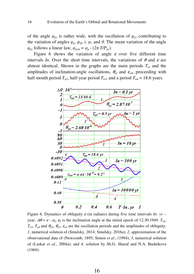16

of the angle  $\varphi_{p\gamma}$  is rather wide, with the oscillation of  $\varphi_{p\gamma}$  contributing to the variation of angles  $\varphi_p$ ,  $\varphi_{\Omega}$ , *i*,  $\psi$ , and  $\theta$ . The mean variation of the angle  $\varphi_{p\gamma}$  follows a linear law,  $\varphi_{p\gamma m} = \varphi_p \cdot (2\pi \cdot T/P_{pr})$ .

Figure 6 shows the variation of angle  $\varepsilon$  over five different time intervals *In*. Over the short time intervals, the variations of  $\theta$  and  $\varepsilon$  are almost identical. Shown in the graphs are the main periods  $T_{ni}$  and the amplitudes of inclination-angle oscillations,  $\theta_{ai}$  and  $\varepsilon_{a4}$ , proceeding with half-month period  $T_{n2}$ , half-year period  $T_{n3}$ , and a period  $T_{n4} = 18.6$  years.



Figure 6. Dynamics of obliquity  $\varepsilon$  (in radians) during five time intervals *In*:  $yr$ year;  $\Delta\theta \approx \varepsilon$  -  $\varepsilon_0$ ;  $\varepsilon_0$  is the inclination angle at the initial epoch of 12.30.1949.  $T_{n2}$ ,  $T_{n3}$ ,  $T_{n4}$  and  $\theta_{a2}$ ,  $\theta_{a3}$ ,  $\varepsilon_{a4}$  are the oscillation periods and the amplitudes of obliquity. *1*, numerical solution of (Smulsky, 2014; Smulsky, 2016a); *2*, approximation of the observational data of (Newcomb, 1895; Simon *et al*., (1994); *3*, numerical solution of (Laskar *et al*., 2004a); and *4*, solution by Sh.G. Sharaf and N.A. Budnikova (1969).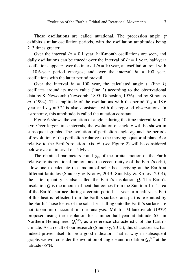These oscillations are called nutational. The precession angle  $\psi$ exhibits similar oscillation periods, with the oscillation amplitudes being 2–3 times greater.

Over the interval  $In = 0.1$  year, half-month oscillations are seen, and daily oscillations can be traced: over the interval of  $In = 1$  year, half-year oscillations appear; over the interval  $In = 10$  year, an oscillation trend with a 18.6-year period emerges; and over the interval  $In = 100$  year, oscillations with the latter period prevail.

Over the interval  $In = 100$  year, the calculated angle  $\varepsilon$  (line *1*) oscillates around its mean value (line *2*) according to the observational data by S. Newcomb (Newcomb, 1895; Duboshin, 1976) and by Simon *et al.* (1994). The amplitude of the oscillations with the period  $T_{n4} = 18.6$ year and  $\varepsilon_{a4} = 9.2^{\circ}$  is also consistent with the reported observations. In astronomy, this amplitude is called the nutation constant.

Figure 6 shows the variation of angle  $\varepsilon$  during the time interval  $In = 10$ kyr. Over larger time intervals, the evolution of angle  $\varepsilon$  will be shown in subsequent graphs. The evolution of perihelion angle  $\varphi_{py}$  and the periods of revolution of the perihelion relative to the moving equatorial plane *4* or r relative to the Earth's rotation axis  $N$  (see Figure 2) will be considered below over an interval of -5 Myr.

The obtained parameters  $\varepsilon$  and  $\varphi_{p\gamma}$  of the orbital motion of the Earth relative to its rotational motion, and the eccentricity *e* of the Earth's orbit, allow one to calculate the amount of solar heat arriving at the Earth at different latitudes (Smulsky & Krotov, 2013; Smulsky & Krotov, 2014); the latter quantity is also called the Earth's insolation *Q*. The Earth's insolation  $Q$  is the amount of heat that comes from the Sun to a  $1-m^2$  area of the Earth's surface during a certain period––a year or a half-year. Part of this heat is reflected from the Earth's surface, and part is re-emitted by the Earth. Those losses of the solar heat falling onto the Earth's surface are not taken into account in our analysis. Milutin Milankovitch (1939) proposed using the insolation for summer half-year at latitude 65° in Northern Hemisphere,  $Q_s^{\text{65N}}$ , as a reference characteristic of the Earth's climate. As a result of our research (Smulsky, 2015), this characteristic has indeed proven itself to be a good indicator. That is why in subsequent graphs we will consider the evolution of angle  $\varepsilon$  and insolation  $Q_s^{\text{65N}}$  at the latitude 65°N*.* 

17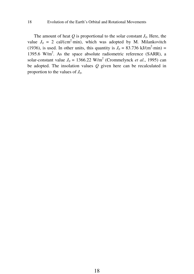18

The amount of heat  $Q$  is proportional to the solar constant  $J_0$ . Here, the value  $J_0 = 2$  cal/(cm<sup>2</sup>·min), which was adopted by M. Milankovitch (1936), is used. In other units, this quantity is  $J_0 = 83.736 \text{ kJ/(m}^2 \cdot \text{min}) =$ 1395.6 W/m<sup>2</sup>. As the space absolute radiometric reference (SARR), a solar-constant value  $J_0 = 1366.22$  W/m<sup>2</sup> (Crommelynck *et al.*, 1995) can be adopted. The insolation values *Q* given here can be recalculated in proportion to the values of  $J_0$ .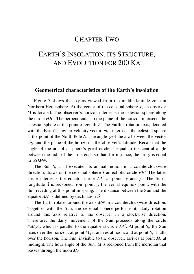## CHAPTER TWO

## EARTH'S INSOLATION, ITS STRUCTURE, AND EVOLUTION FOR 200 KA

#### **Geometrical characteristics of the Earth's insolation**

Figure 7 shows the sky as viewed from the middle-latitude zone in Northern Hemisphere. At the center of the celestial sphere *1*, an observer *M* is located. The observer's horizon intersects the celestial sphere along the circle *HH*′. The perpendicular to the plane of the horizon intersects the celestial sphere at the point of zenith *Z*. The Earth's rotation axis, denoted r with the Earth's angular velocity vector  $\vec{\omega}_E$ , intersects the celestial sphere at the point of the North Pole *N*. The angle  $\varphi$  of the arc between the vector  $\vec{\omega}_E$  and the plane of the horizon is the observer's latitude. Recall that the angle of the arc of a sphere's great circle is equal to the central angle between the radii of the arc's ends so that, for instance, the arc  $\varphi$  is equal to ∠*HMN*.

The Sun *S*, as it executes its annual motion in a counterclockwise direction, draws on the celestial sphere *1* an ecliptic circle *EE*′. The latter circle intersects the equator circle *AA*′ at points γ and γ*'*. The Sun's longitude  $\lambda$  is reckoned from point  $\gamma$ , the vernal equinox point, with the Sun receding at this point in spring. The distance between the Sun and the equator  $AA'$  is defined by declination  $\delta$ .

The Earth rotates around the axis *MN* in a counterclockwise direction. Together with the Sun, the celestial sphere performs its daily rotation around this axis relative to the observer in a clockwise direction. Therefore, the daily movement of the Sun proceeds along the circle  $S_r M_d S_s$ , which is parallel to the equatorial circle *AA*<sup> $\prime$ </sup>. At point *S<sub>r</sub>*, the Sun rises over the horizon, at point  $M_d$  it arrives at noon, and at point  $S_s$  it falls over the horizon. The Sun, invisible to the observer, arrives at point *Mn* at midnight. The hour angle of the Sun,  $\omega$ , is reckoned from the meridian that passes through the noon *Md*.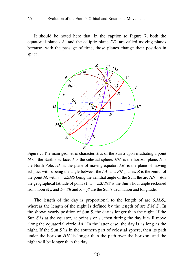It should be noted here that, in the caption to Figure 7, both the equatorial plane *AA'* and the ecliptic plane *EE'* are called moving planes because, with the passage of time, those planes change their position in space.



Figure 7. The main geometric characteristics of the Sun *S* upon irradiating a point *M* on the Earth's surface: *1* is the celestial sphere; *HH'* is the horizon plane; *N* is the North Pole; *AA*′ is the plane of moving equator; ЕЕ′ is the plane of moving ecliptic, with  $\varepsilon$  being the angle between the  $AA'$  and  $EE'$  planes;  $Z$  is the zenith of the point *M*, with  $z = \angle ZMS$  being the zenithal angle of the Sun; the arc  $HN = \varphi$  is the geographical latitude of point *M*;  $\omega = \angle M dNS$  is the Sun's hour angle reckoned from noon  $M_d$ ; and  $\delta = SB$  and  $\lambda = \gamma S$  are the Sun's declination and longitude.

The length of the day is proportional to the length of arc  $S_rM_dS_s$ , whereas the length of the night is defined by the length of arc *SsMnS<sup>r</sup>* . In the shown yearly position of Sun *S*, the day is longer than the night. If the Sun *S* is at the equator, at point  $\gamma$  or  $\gamma'$ , then during the day it will move along the equatorial circle *AA*′. In the latter case, the day is as long as the night. If the Sun *S*′ is in the southern part of celestial sphere, then its path under the horizon *HH*′ is longer than the path over the horizon, and the night will be longer than the day.